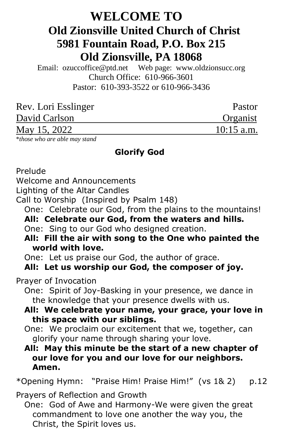# **WELCOME TO Old Zionsville United Church of Christ 5981 Fountain Road, P.O. Box 215 Old Zionsville, PA 18068**

Email: [ozuccoffice@ptd.net](mailto:ozuccoffice@ptd.net) Web page: [www.ol](http://www.uccwebsites.net/oldzionsvilleuccpa.html)dzionsucc.org Church Office: 610-966-3601 Pastor: 610-393-3522 or 610-966-3436

| Pastor       |
|--------------|
| Organist     |
| $10:15$ a.m. |
|              |

\**those who are able may stand*

## **Glorify God**

Prelude

Welcome and Announcements

Lighting of the Altar Candles

Call to Worship (Inspired by Psalm 148)

One: Celebrate our God, from the plains to the mountains!

 **All: Celebrate our God, from the waters and hills.**

One: Sing to our God who designed creation.

 **All: Fill the air with song to the One who painted the world with love.**

One: Let us praise our God, the author of grace.

## **All: Let us worship our God, the composer of joy.**

Prayer of Invocation

 One: Spirit of Joy-Basking in your presence, we dance in the knowledge that your presence dwells with us.

 **All: We celebrate your name, your grace, your love in this space with our siblings.**

 One: We proclaim our excitement that we, together, can glorify your name through sharing your love.

 **All: May this minute be the start of a new chapter of our love for you and our love for our neighbors. Amen.**

\*Opening Hymn: "Praise Him! Praise Him!" (vs 1& 2) p.12

Prayers of Reflection and Growth

 One: God of Awe and Harmony-We were given the great commandment to love one another the way you, the Christ, the Spirit loves us.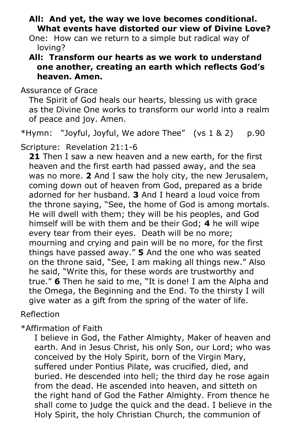- **All: And yet, the way we love becomes conditional. What events have distorted our view of Divine Love?**
- One: How can we return to a simple but radical way of loving?
- **All: Transform our hearts as we work to understand one another, creating an earth which reflects God's heaven. Amen.**

Assurance of Grace

 The Spirit of God heals our hearts, blessing us with grace as the Divine One works to transform our world into a realm of peace and joy. Amen.

\*Hymn: "Joyful, Joyful, We adore Thee" (vs 1 & 2) p.90

Scripture: Revelation 21:1-6

 **21** Then I saw a new heaven and a new earth, for the first heaven and the first earth had passed away, and the sea was no more. **2** And I saw the holy city, the new Jerusalem, coming down out of heaven from God, prepared as a bride adorned for her husband. **3** And I heard a loud voice from the throne saying, "See, the home of God is among mortals. He will dwell with them; they will be his peoples, and God himself will be with them and be their God; **4** he will wipe every tear from their eyes. Death will be no more; mourning and crying and pain will be no more, for the first things have passed away." **5** And the one who was seated on the throne said, "See, I am making all things new." Also he said, "Write this, for these words are trustworthy and true." **6** Then he said to me, "It is done! I am the Alpha and the Omega, the Beginning and the End. To the thirsty I will give water as a gift from the spring of the water of life.

# Reflection

\*Affirmation of Faith

 I believe in God, the Father Almighty, Maker of heaven and earth. And in Jesus Christ, his only Son, our Lord; who was conceived by the Holy Spirit, born of the Virgin Mary, suffered under Pontius Pilate, was crucified, died, and buried. He descended into hell; the third day he rose again from the dead. He ascended into heaven, and sitteth on the right hand of God the Father Almighty. From thence he shall come to judge the quick and the dead. I believe in the Holy Spirit, the holy Christian Church, the communion of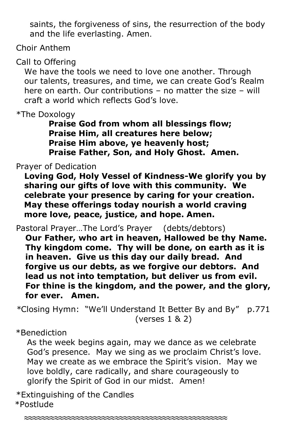saints, the forgiveness of sins, the resurrection of the body and the life everlasting. Amen.

Choir Anthem

Call to Offering

 We have the tools we need to love one another. Through our talents, treasures, and time, we can create God's Realm here on earth. Our contributions – no matter the size – will craft a world which reflects God's love.

\*The Doxology

 **Praise God from whom all blessings flow; Praise Him, all creatures here below; Praise Him above, ye heavenly host; Praise Father, Son, and Holy Ghost. Amen.**

Prayer of Dedication

 **Loving God, Holy Vessel of Kindness-We glorify you by sharing our gifts of love with this community. We celebrate your presence by caring for your creation. May these offerings today nourish a world craving more love, peace, justice, and hope. Amen.**

Pastoral Prayer…The Lord's Prayer (debts/debtors)

**Our Father, who art in heaven, Hallowed be thy Name. Thy kingdom come. Thy will be done, on earth as it is in heaven. Give us this day our daily bread. And forgive us our debts, as we forgive our debtors. And lead us not into temptation, but deliver us from evil. For thine is the kingdom, and the power, and the glory, for ever. Amen.**

*\**Closing Hymn: "We'll Understand It Better By and By" p.771 (verses 1 & 2)

\*Benediction

 As the week begins again, may we dance as we celebrate God's presence. May we sing as we proclaim Christ's love. May we create as we embrace the Spirit's vision. May we love boldly, care radically, and share courageously to glorify the Spirit of God in our midst. Amen!

**≈≈≈≈≈≈≈≈≈≈≈≈≈≈≈≈≈≈≈≈≈≈≈≈≈≈≈≈≈≈≈≈≈≈≈≈≈≈≈≈≈≈≈≈≈≈≈**

\*Extinguishing of the Candles \*Postlude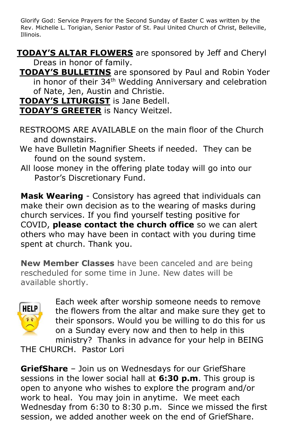Glorify God: Service Prayers for the Second Sunday of Easter C was written by the Rev. Michelle L. Torigian, Senior Pastor of St. Paul United Church of Christ, Belleville, Illinois.

- **TODAY'S ALTAR FLOWERS** are sponsored by Jeff and Cheryl Dreas in honor of family.
- **TODAY'S BULLETINS** are sponsored by Paul and Robin Yoder in honor of their 34<sup>th</sup> Wedding Anniversary and celebration of Nate, Jen, Austin and Christie.

**TODAY'S LITURGIST** is Jane Bedell.

**TODAY'S GREETER** is Nancy Weitzel.

- RESTROOMS ARE AVAILABLE on the main floor of the Church and downstairs.
- We have Bulletin Magnifier Sheets if needed. They can be found on the sound system.
- All loose money in the offering plate today will go into our Pastor's Discretionary Fund.

**Mask Wearing** - Consistory has agreed that individuals can make their own decision as to the wearing of masks during church services. If you find yourself testing positive for COVID, **please contact the church office** so we can alert others who may have been in contact with you during time spent at church. Thank you.

**New Member Classes** have been canceled and are being rescheduled for some time in June. New dates will be available shortly.



Each week after worship someone needs to remove the flowers from the altar and make sure they get to their sponsors. Would you be willing to do this for us on a Sunday every now and then to help in this ministry? Thanks in advance for your help in BEING

THE CHURCH. Pastor Lori

**GriefShare** – Join us on Wednesdays for our GriefShare sessions in the lower social hall at **6:30 p.m**. This group is open to anyone who wishes to explore the program and/or work to heal. You may join in anytime. We meet each Wednesday from 6:30 to 8:30 p.m. Since we missed the first session, we added another week on the end of GriefShare.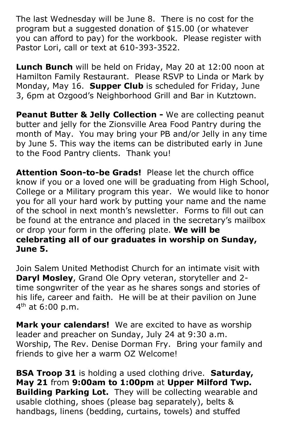The last Wednesday will be June 8. There is no cost for the program but a suggested donation of \$15.00 (or whatever you can afford to pay) for the workbook. Please register with Pastor Lori, call or text at 610-393-3522.

**Lunch Bunch** will be held on Friday, May 20 at 12:00 noon at Hamilton Family Restaurant. Please RSVP to Linda or Mark by Monday, May 16. **Supper Club** is scheduled for Friday, June 3, 6pm at Ozgood's Neighborhood Grill and Bar in Kutztown.

**Peanut Butter & Jelly Collection -** We are collecting peanut butter and jelly for the Zionsville Area Food Pantry during the month of May. You may bring your PB and/or Jelly in any time by June 5. This way the items can be distributed early in June to the Food Pantry clients. Thank you!

**Attention Soon-to-be Grads!** Please let the church office know if you or a loved one will be graduating from High School, College or a Military program this year. We would like to honor you for all your hard work by putting your name and the name of the school in next month's newsletter. Forms to fill out can be found at the entrance and placed in the secretary's mailbox or drop your form in the offering plate. **We will be celebrating all of our graduates in worship on Sunday, June 5.**

Join Salem United Methodist Church for an intimate visit with **Daryl Mosley**, Grand Ole Opry veteran, storyteller and 2 time songwriter of the year as he shares songs and stories of his life, career and faith. He will be at their pavilion on June 4<sup>th</sup> at 6:00 p.m.

**Mark your calendars!** We are excited to have as worship leader and preacher on Sunday, July 24 at 9:30 a.m. Worship, The Rev. Denise Dorman Fry. Bring your family and friends to give her a warm OZ Welcome!

**BSA Troop 31** is holding a used clothing drive. **Saturday, May 21** from **9:00am to 1:00pm** at **Upper Milford Twp. Building Parking Lot.** They will be collecting wearable and usable clothing, shoes (please bag separately), belts & handbags, linens (bedding, curtains, towels) and stuffed